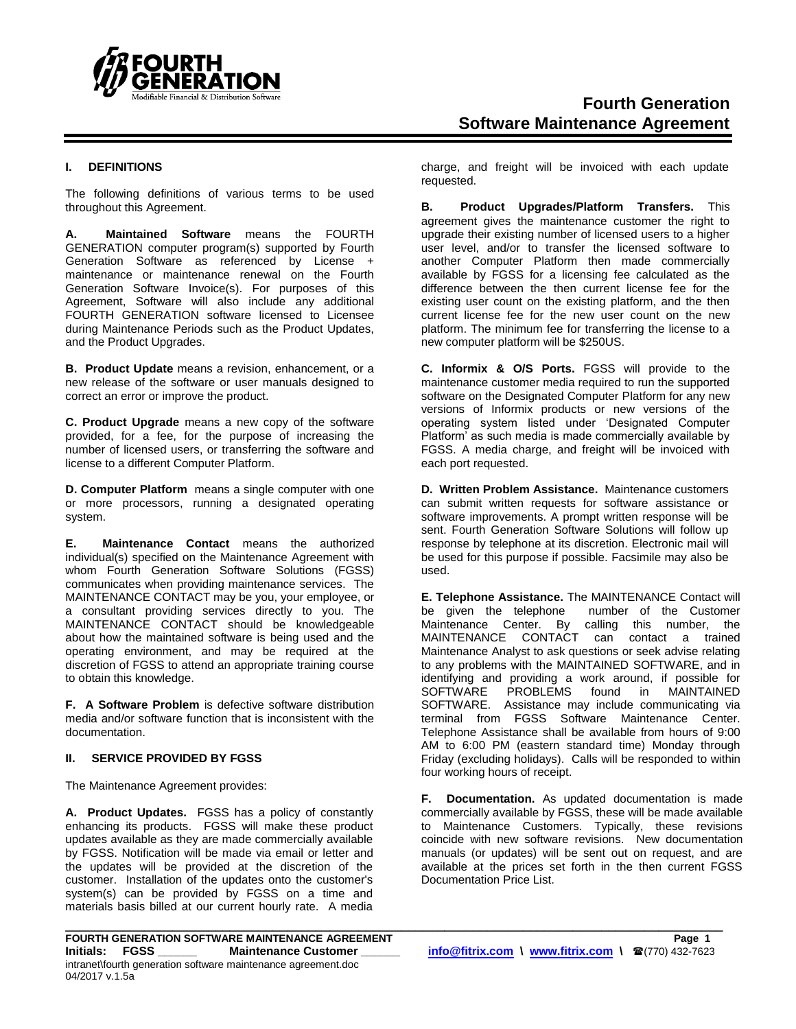

# **Fourth Generation Software Maintenance Agreement**

## **I. DEFINITIONS**

The following definitions of various terms to be used throughout this Agreement.

**A. Maintained Software** means the FOURTH GENERATION computer program(s) supported by Fourth Generation Software as referenced by License + maintenance or maintenance renewal on the Fourth Generation Software Invoice(s). For purposes of this Agreement, Software will also include any additional FOURTH GENERATION software licensed to Licensee during Maintenance Periods such as the Product Updates, and the Product Upgrades.

**B. Product Update** means a revision, enhancement, or a new release of the software or user manuals designed to correct an error or improve the product.

**C. Product Upgrade** means a new copy of the software provided, for a fee, for the purpose of increasing the number of licensed users, or transferring the software and license to a different Computer Platform.

**D. Computer Platform** means a single computer with one or more processors, running a designated operating system.

**E. Maintenance Contact** means the authorized individual(s) specified on the Maintenance Agreement with whom Fourth Generation Software Solutions (FGSS) communicates when providing maintenance services. The MAINTENANCE CONTACT may be you, your employee, or a consultant providing services directly to you. The MAINTENANCE CONTACT should be knowledgeable about how the maintained software is being used and the operating environment, and may be required at the discretion of FGSS to attend an appropriate training course to obtain this knowledge.

**F. A Software Problem** is defective software distribution media and/or software function that is inconsistent with the documentation.

#### **II. SERVICE PROVIDED BY FGSS**

The Maintenance Agreement provides:

**A. Product Updates.** FGSS has a policy of constantly enhancing its products. FGSS will make these product updates available as they are made commercially available by FGSS. Notification will be made via email or letter and the updates will be provided at the discretion of the customer. Installation of the updates onto the customer's system(s) can be provided by FGSS on a time and materials basis billed at our current hourly rate. A media

charge, and freight will be invoiced with each update requested.

**B. Product Upgrades/Platform Transfers.** This agreement gives the maintenance customer the right to upgrade their existing number of licensed users to a higher user level, and/or to transfer the licensed software to another Computer Platform then made commercially available by FGSS for a licensing fee calculated as the difference between the then current license fee for the existing user count on the existing platform, and the then current license fee for the new user count on the new platform. The minimum fee for transferring the license to a new computer platform will be \$250US.

**C. Informix & O/S Ports.** FGSS will provide to the maintenance customer media required to run the supported software on the Designated Computer Platform for any new versions of Informix products or new versions of the operating system listed under 'Designated Computer Platform' as such media is made commercially available by FGSS. A media charge, and freight will be invoiced with each port requested.

**D. Written Problem Assistance.** Maintenance customers can submit written requests for software assistance or software improvements. A prompt written response will be sent. Fourth Generation Software Solutions will follow up response by telephone at its discretion. Electronic mail will be used for this purpose if possible. Facsimile may also be used.

**E. Telephone Assistance.** The MAINTENANCE Contact will be given the telephone number of the Customer Maintenance Center. By calling this number, the MAINTENANCE CONTACT can contact a trained Maintenance Analyst to ask questions or seek advise relating to any problems with the MAINTAINED SOFTWARE, and in identifying and providing a work around, if possible for SOFTWARE PROBLEMS found in MAINTAINED SOFTWARE. Assistance may include communicating via terminal from FGSS Software Maintenance Center. Telephone Assistance shall be available from hours of 9:00 AM to 6:00 PM (eastern standard time) Monday through Friday (excluding holidays). Calls will be responded to within four working hours of receipt.

**F. Documentation.** As updated documentation is made commercially available by FGSS, these will be made available to Maintenance Customers. Typically, these revisions coincide with new software revisions. New documentation manuals (or updates) will be sent out on request, and are available at the prices set forth in the then current FGSS Documentation Price List.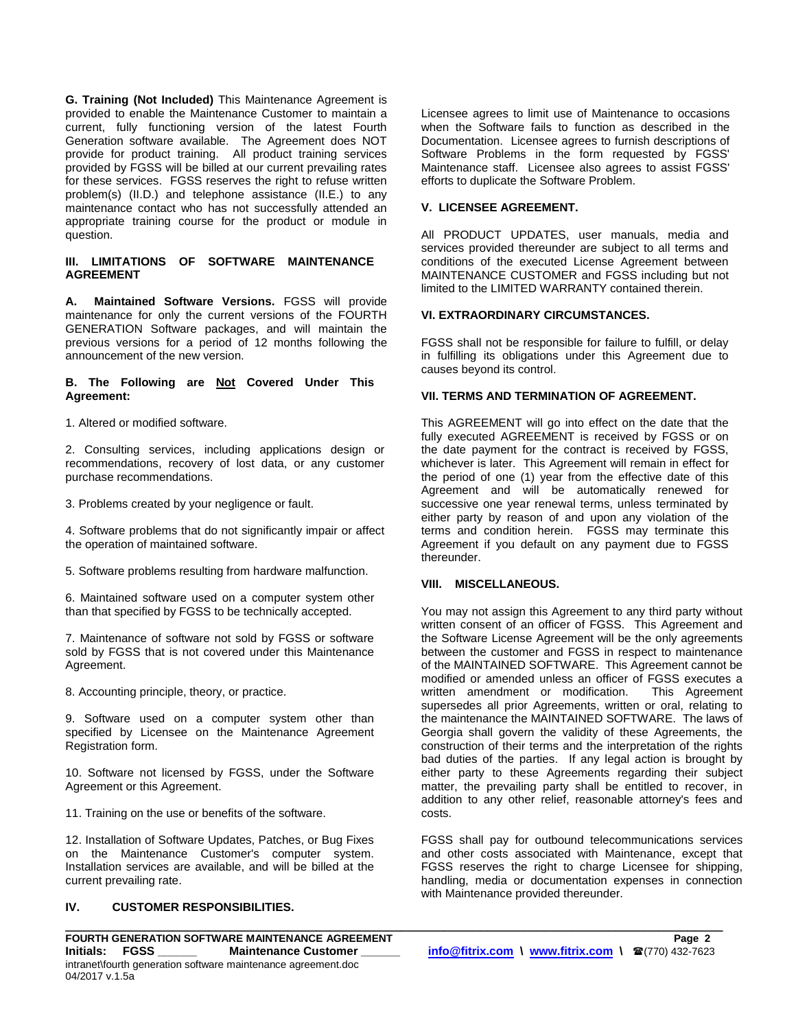**G. Training (Not Included)** This Maintenance Agreement is provided to enable the Maintenance Customer to maintain a current, fully functioning version of the latest Fourth Generation software available. The Agreement does NOT provide for product training. All product training services provided by FGSS will be billed at our current prevailing rates for these services. FGSS reserves the right to refuse written problem(s) (II.D.) and telephone assistance (II.E.) to any maintenance contact who has not successfully attended an appropriate training course for the product or module in question.

#### **III. LIMITATIONS OF SOFTWARE MAINTENANCE AGREEMENT**

**A. Maintained Software Versions.** FGSS will provide maintenance for only the current versions of the FOURTH GENERATION Software packages, and will maintain the previous versions for a period of 12 months following the announcement of the new version.

#### **B. The Following are Not Covered Under This Agreement:**

1. Altered or modified software.

2. Consulting services, including applications design or recommendations, recovery of lost data, or any customer purchase recommendations.

3. Problems created by your negligence or fault.

4. Software problems that do not significantly impair or affect the operation of maintained software.

5. Software problems resulting from hardware malfunction.

6. Maintained software used on a computer system other than that specified by FGSS to be technically accepted.

7. Maintenance of software not sold by FGSS or software sold by FGSS that is not covered under this Maintenance Agreement.

8. Accounting principle, theory, or practice.

9. Software used on a computer system other than specified by Licensee on the Maintenance Agreement Registration form.

10. Software not licensed by FGSS, under the Software Agreement or this Agreement.

11. Training on the use or benefits of the software.

12. Installation of Software Updates, Patches, or Bug Fixes on the Maintenance Customer's computer system. Installation services are available, and will be billed at the current prevailing rate.

## **IV. CUSTOMER RESPONSIBILITIES.**

Licensee agrees to limit use of Maintenance to occasions when the Software fails to function as described in the Documentation. Licensee agrees to furnish descriptions of Software Problems in the form requested by FGSS' Maintenance staff. Licensee also agrees to assist FGSS' efforts to duplicate the Software Problem.

## **V. LICENSEE AGREEMENT.**

All PRODUCT UPDATES, user manuals, media and services provided thereunder are subject to all terms and conditions of the executed License Agreement between MAINTENANCE CUSTOMER and FGSS including but not limited to the LIMITED WARRANTY contained therein.

## **VI. EXTRAORDINARY CIRCUMSTANCES.**

FGSS shall not be responsible for failure to fulfill, or delay in fulfilling its obligations under this Agreement due to causes beyond its control.

#### **VII. TERMS AND TERMINATION OF AGREEMENT.**

This AGREEMENT will go into effect on the date that the fully executed AGREEMENT is received by FGSS or on the date payment for the contract is received by FGSS, whichever is later. This Agreement will remain in effect for the period of one (1) year from the effective date of this Agreement and will be automatically renewed for successive one year renewal terms, unless terminated by either party by reason of and upon any violation of the terms and condition herein. FGSS may terminate this Agreement if you default on any payment due to FGSS thereunder.

#### **VIII. MISCELLANEOUS.**

**\_\_\_\_\_\_\_\_\_\_\_\_\_\_\_\_\_\_\_\_\_\_\_\_\_\_\_\_\_\_\_\_\_\_\_\_\_\_\_\_\_\_\_\_\_\_\_\_\_\_\_\_\_\_\_\_\_\_\_\_\_\_\_\_\_\_\_\_\_\_\_\_\_\_\_\_\_\_\_\_\_\_\_\_\_\_\_\_\_\_\_\_**

You may not assign this Agreement to any third party without written consent of an officer of FGSS. This Agreement and the Software License Agreement will be the only agreements between the customer and FGSS in respect to maintenance of the MAINTAINED SOFTWARE. This Agreement cannot be modified or amended unless an officer of FGSS executes a written amendment or modification. This Agreement supersedes all prior Agreements, written or oral, relating to the maintenance the MAINTAINED SOFTWARE. The laws of Georgia shall govern the validity of these Agreements, the construction of their terms and the interpretation of the rights bad duties of the parties. If any legal action is brought by either party to these Agreements regarding their subject matter, the prevailing party shall be entitled to recover, in addition to any other relief, reasonable attorney's fees and costs.

FGSS shall pay for outbound telecommunications services and other costs associated with Maintenance, except that FGSS reserves the right to charge Licensee for shipping, handling, media or documentation expenses in connection with Maintenance provided thereunder.